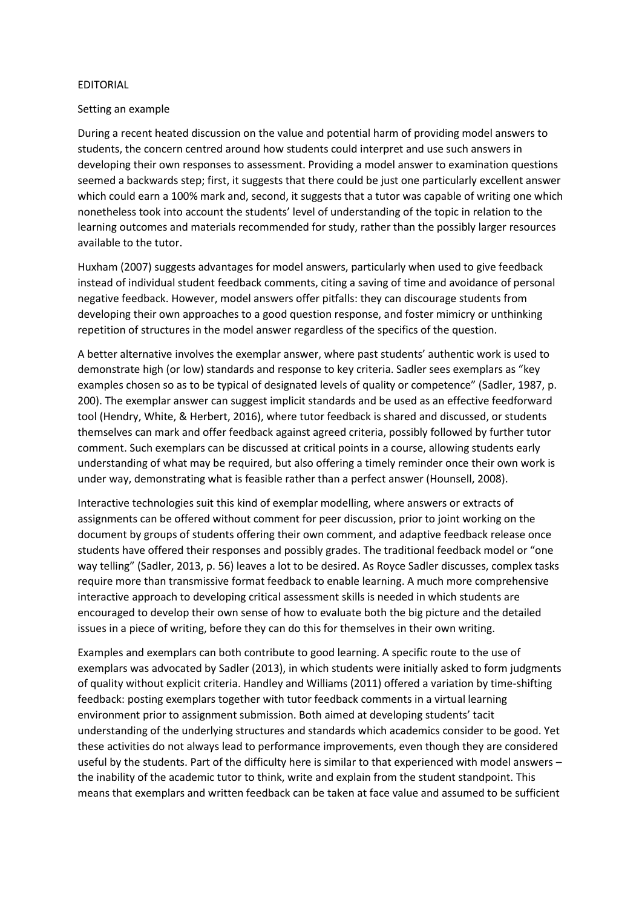## EDITORIAL

## Setting an example

During a recent heated discussion on the value and potential harm of providing model answers to students, the concern centred around how students could interpret and use such answers in developing their own responses to assessment. Providing a model answer to examination questions seemed a backwards step; first, it suggests that there could be just one particularly excellent answer which could earn a 100% mark and, second, it suggests that a tutor was capable of writing one which nonetheless took into account the students' level of understanding of the topic in relation to the learning outcomes and materials recommended for study, rather than the possibly larger resources available to the tutor.

Huxham (2007) suggests advantages for model answers, particularly when used to give feedback instead of individual student feedback comments, citing a saving of time and avoidance of personal negative feedback. However, model answers offer pitfalls: they can discourage students from developing their own approaches to a good question response, and foster mimicry or unthinking repetition of structures in the model answer regardless of the specifics of the question.

A better alternative involves the exemplar answer, where past students' authentic work is used to demonstrate high (or low) standards and response to key criteria. Sadler sees exemplars as "key examples chosen so as to be typical of designated levels of quality or competence" (Sadler, 1987, p. 200). The exemplar answer can suggest implicit standards and be used as an effective feedforward tool (Hendry, White, & Herbert, 2016), where tutor feedback is shared and discussed, or students themselves can mark and offer feedback against agreed criteria, possibly followed by further tutor comment. Such exemplars can be discussed at critical points in a course, allowing students early understanding of what may be required, but also offering a timely reminder once their own work is under way, demonstrating what is feasible rather than a perfect answer (Hounsell, 2008).

Interactive technologies suit this kind of exemplar modelling, where answers or extracts of assignments can be offered without comment for peer discussion, prior to joint working on the document by groups of students offering their own comment, and adaptive feedback release once students have offered their responses and possibly grades. The traditional feedback model or "one way telling" (Sadler, 2013, p. 56) leaves a lot to be desired. As Royce Sadler discusses, complex tasks require more than transmissive format feedback to enable learning. A much more comprehensive interactive approach to developing critical assessment skills is needed in which students are encouraged to develop their own sense of how to evaluate both the big picture and the detailed issues in a piece of writing, before they can do this for themselves in their own writing.

Examples and exemplars can both contribute to good learning. A specific route to the use of exemplars was advocated by Sadler (2013), in which students were initially asked to form judgments of quality without explicit criteria. Handley and Williams (2011) offered a variation by time-shifting feedback: posting exemplars together with tutor feedback comments in a virtual learning environment prior to assignment submission. Both aimed at developing students' tacit understanding of the underlying structures and standards which academics consider to be good. Yet these activities do not always lead to performance improvements, even though they are considered useful by the students. Part of the difficulty here is similar to that experienced with model answers – the inability of the academic tutor to think, write and explain from the student standpoint. This means that exemplars and written feedback can be taken at face value and assumed to be sufficient